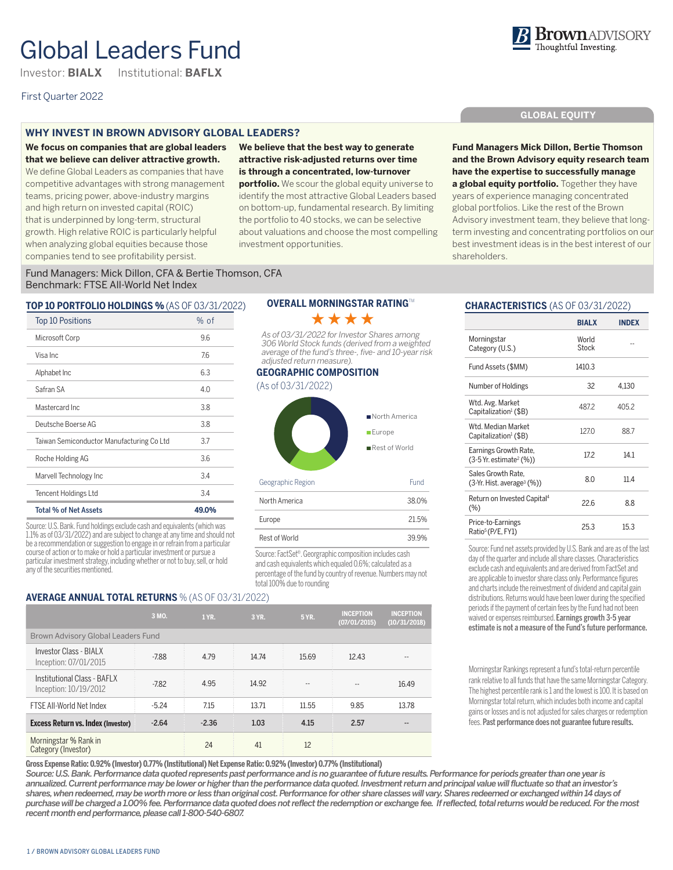# Global Leaders Fund

Investor: **BIALX** Institutional: **BAFLX**

# First Quarter 2022

# **WHY INVEST IN BROWN ADVISORY GLOBAL LEADERS?**

**We focus on companies that are global leaders that we believe can deliver attractive growth.**  We define Global Leaders as companies that have competitive advantages with strong management teams, pricing power, above-industry margins and high return on invested capital (ROIC) that is underpinned by long-term, structural growth. High relative ROIC is particularly helpful when analyzing global equities because those companies tend to see profitability persist.

**We believe that the best way to generate attractive risk-adjusted returns over time is through a concentrated, low-turnover portfolio.** We scour the global equity universe to identify the most attractive Global Leaders based on bottom-up, fundamental research. By limiting the portfolio to 40 stocks, we can be selective about valuations and choose the most compelling investment opportunities.

# **GLOBAL EQUITY**

**Fund Managers Mick Dillon, Bertie Thomson and the Brown Advisory equity research team have the expertise to successfully manage a global equity portfolio.** Together they have years of experience managing concentrated global portfolios. Like the rest of the Brown Advisory investment team, they believe that longterm investing and concentrating portfolios on our best investment ideas is in the best interest of our shareholders.

Fund Managers: Mick Dillon, CFA & Bertie Thomson, CFA Benchmark: FTSE All-World Net Index

## **TOP 10 PORTFOLIO HOLDINGS %** (AS OF 03/31/2022)

| <b>Top 10 Positions</b>                   | % of  |
|-------------------------------------------|-------|
| Microsoft Corp                            | 9.6   |
| Visa Inc                                  | 7.6   |
| Alphabet Inc                              | 6.3   |
| Safran SA                                 | 4.0   |
| Mastercard Inc.                           | 3.8   |
| Deutsche Boerse AG                        | 3.8   |
| Taiwan Semiconductor Manufacturing Co Ltd | 3.7   |
| Roche Holding AG                          | 3.6   |
| Marvell Technology Inc                    | 3.4   |
| Tencent Holdings Ltd                      | 3.4   |
| <b>Total % of Net Assets</b>              | 49.0% |

Source: U.S. Bank. Fund holdings exclude cash and equivalents (which was 1.1% as of 03/31/2022) and are subject to change at any time and should not be a recommendation or suggestion to engage in or refrain from a particular course of action or to make or hold a particular investment or pursue a particular investment strategy, including whether or not to buy, sell, or hold any of the securities mentioned.

# **OVERALL MORNINGSTAR RATING**TM \*\*\*\*

*As of 03/31/2022 for Investor Shares among 306 World Stock funds (derived from a weighted average of the fund's three-, five- and 10-year risk adjusted return measure).*

#### **GEOGRAPHIC COMPOSITION**

(As of 03/31/2022)



| Rest of World                                                                                                              | 39 9% |
|----------------------------------------------------------------------------------------------------------------------------|-------|
| Source: FactSet®. Georgraphic composition includes cash<br>s as hatslugled which political political production of the set |       |

Europe 21.5%

and cash equivalents which equaled 0.6%; calculated as a percentage of the fund by country of revenue. Numbers may not total 100% due to rounding

# **AVERAGE ANNUAL TOTAL RETURNS** % (AS OF 03/31/2022)

|                                                      | 3 MO.   | 1 YR.   | 3 YR. | <b>5 YR.</b> | <b>INCEPTION</b><br>(07/01/2015) | <b>INCEPTION</b><br>(10/31/2018) |
|------------------------------------------------------|---------|---------|-------|--------------|----------------------------------|----------------------------------|
| Brown Advisory Global Leaders Fund                   |         |         |       |              |                                  |                                  |
| Investor Class - BIALX<br>Inception: 07/01/2015      | $-7.88$ | 4.79    | 14.74 | 15.69        | 12.43                            |                                  |
| Institutional Class - BAFLX<br>Inception: 10/19/2012 | $-7.82$ | 4.95    | 14.92 |              | --                               | 16.49                            |
| FTSE All-World Net Index                             | $-5.24$ | 7.15    | 13.71 | 11.55        | 9.85                             | 13.78                            |
| <b>Excess Return vs. Index (Investor)</b>            | $-2.64$ | $-2.36$ | 1.03  | 4.15         | 2.57                             |                                  |
| Morningstar % Rank in<br>Category (Investor)         |         | 24      | 41    | 12           |                                  |                                  |

**Gross Expense Ratio: 0.92% (Investor) 0.77% (Institutional) Net Expense Ratio: 0.92% (Investor) 0.77% (Institutional)**

*Source: U.S. Bank. Performance data quoted represents past performance and is no guarantee of future results. Performance for periods greater than one year is annualized. Current performance may be lower or higher than the performance data quoted. Investment return and principal value will fluctuate so that an investor's shares, when redeemed, may be worth more or less than original cost. Performance for other share classes will vary. Shares redeemed or exchanged within 14 days of purchase will be charged a 1.00% fee. Performance data quoted does not reflect the redemption or exchange fee. If reflected, total returns would be reduced. For the most recent month end performance, please call 1-800-540-6807.* 

# **CHARACTERISTICS** (AS OF 03/31/2022)

|                                                                 | <b>BIALX</b>   | INDEX |
|-----------------------------------------------------------------|----------------|-------|
| Morningstar<br>Category (U.S.)                                  | World<br>Stock |       |
| Fund Assets (\$MM)                                              | 1410.3         |       |
| <b>Number of Holdings</b>                                       | 32             | 4.130 |
| Wtd. Avg. Market<br>Capitalization <sup>1</sup> (\$B)           | 4872           | 405.2 |
| Wtd Median Market<br>Capitalization <sup>1</sup> (\$B)          | 1270           | 88.7  |
| Earnings Growth Rate,<br>$(3-5)$ Yr. estimate <sup>2</sup> (%)) | 172            | 14.1  |
| Sales Growth Rate.<br>(3-Yr. Hist. average <sup>3</sup> (%))    | 80             | 11.4  |
| Return on Invested Capital <sup>4</sup><br>(%)                  | 226            | 8.8   |
| Price-to-Earnings<br>Ratio <sup>5</sup> (P/E, FY1)              | 25.3           | 15.3  |

Source: Fund net assets provided by U.S. Bank and are as of the last day of the quarter and include all share classes. Characteristics exclude cash and equivalents and are derived from FactSet and are applicable to investor share class only. Performance figures and charts include the reinvestment of dividend and capital gain distributions. Returns would have been lower during the specified periods if the payment of certain fees by the Fund had not been waived or expenses reimbursed. Earnings growth 3-5 year estimate is not a measure of the Fund's future performance.

Morningstar Rankings represent a fund's total-return percentile rank relative to all funds that have the same Morningstar Category. The highest percentile rank is 1 and the lowest is 100. It is based on Morningstar total return, which includes both income and capital gains or losses and is not adjusted for sales charges or redemption fees. Past performance does not guarantee future results.